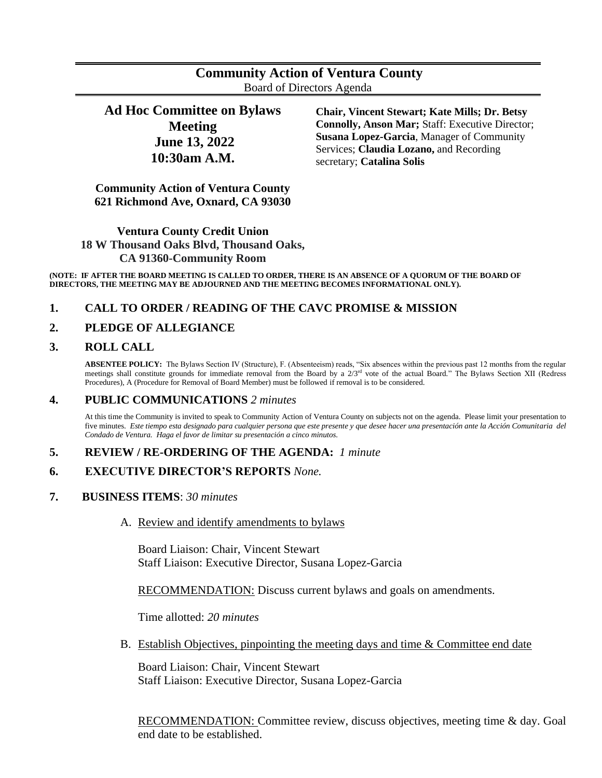# **Community Action of Ventura County** Board of Directors Agenda

**Ad Hoc Committee on Bylaws Meeting June 13, 2022 10:30am A.M.**

**Chair, Vincent Stewart; Kate Mills; Dr. Betsy Connolly, Anson Mar;** Staff: Executive Director; **Susana Lopez-Garcia**, Manager of Community Services; **Claudia Lozano,** and Recording secretary; **Catalina Solis**

**Community Action of Ventura County 621 Richmond Ave, Oxnard, CA 93030**

## **Ventura County Credit Union 18 W Thousand Oaks Blvd, Thousand Oaks, CA 91360-Community Room**

**(NOTE: IF AFTER THE BOARD MEETING IS CALLED TO ORDER, THERE IS AN ABSENCE OF A QUORUM OF THE BOARD OF DIRECTORS, THE MEETING MAY BE ADJOURNED AND THE MEETING BECOMES INFORMATIONAL ONLY).**

### **1. CALL TO ORDER / READING OF THE CAVC PROMISE & MISSION**

### **2. PLEDGE OF ALLEGIANCE**

### **3. ROLL CALL**

**ABSENTEE POLICY:** The Bylaws Section IV (Structure), F. (Absenteeism) reads, "Six absences within the previous past 12 months from the regular meetings shall constitute grounds for immediate removal from the Board by a  $2/3<sup>rd</sup>$  vote of the actual Board." The Bylaws Section XII (Redress Procedures), A (Procedure for Removal of Board Member) must be followed if removal is to be considered.

### **4. PUBLIC COMMUNICATIONS** *2 minutes*

At this time the Community is invited to speak to Community Action of Ventura County on subjects not on the agenda. Please limit your presentation to five minutes. *Este tiempo esta designado para cualquier persona que este presente y que desee hacer una presentación ante la Acción Comunitaria del Condado de Ventura. Haga el favor de limitar su presentación a cinco minutos.*

#### **5. REVIEW / RE-ORDERING OF THE AGENDA:** *1 minute*

- **6. EXECUTIVE DIRECTOR'S REPORTS** *None.*
- **7. BUSINESS ITEMS**: *30 minutes*
	- A. Review and identify amendments to bylaws

Board Liaison: Chair, Vincent Stewart Staff Liaison: Executive Director, Susana Lopez-Garcia

RECOMMENDATION: Discuss current bylaws and goals on amendments.

Time allotted: *20 minutes*

B. Establish Objectives, pinpointing the meeting days and time & Committee end date

Board Liaison: Chair, Vincent Stewart Staff Liaison: Executive Director, Susana Lopez-Garcia

RECOMMENDATION: Committee review, discuss objectives, meeting time & day. Goal end date to be established.